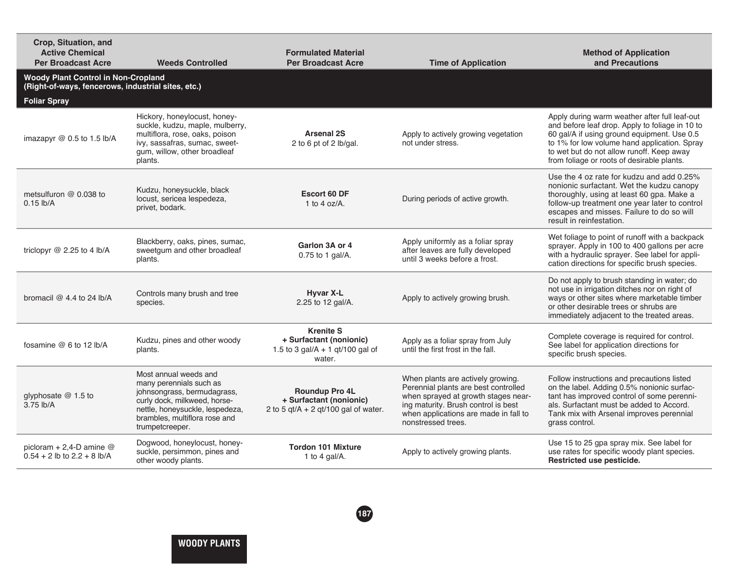| Crop, Situation, and<br><b>Active Chemical</b><br><b>Per Broadcast Acre</b>                      | <b>Weeds Controlled</b>                                                                                                                                                                                | <b>Formulated Material</b><br><b>Per Broadcast Acre</b>                                   | <b>Time of Application</b>                                                                                                                                                                                             | <b>Method of Application</b><br>and Precautions                                                                                                                                                                                                                                            |
|--------------------------------------------------------------------------------------------------|--------------------------------------------------------------------------------------------------------------------------------------------------------------------------------------------------------|-------------------------------------------------------------------------------------------|------------------------------------------------------------------------------------------------------------------------------------------------------------------------------------------------------------------------|--------------------------------------------------------------------------------------------------------------------------------------------------------------------------------------------------------------------------------------------------------------------------------------------|
| <b>Woody Plant Control in Non-Cropland</b><br>(Right-of-ways, fencerows, industrial sites, etc.) |                                                                                                                                                                                                        |                                                                                           |                                                                                                                                                                                                                        |                                                                                                                                                                                                                                                                                            |
| <b>Foliar Spray</b>                                                                              |                                                                                                                                                                                                        |                                                                                           |                                                                                                                                                                                                                        |                                                                                                                                                                                                                                                                                            |
| imazapyr @ 0.5 to 1.5 lb/A                                                                       | Hickory, honeylocust, honey-<br>suckle, kudzu, maple, mulberry,<br>multiflora, rose, oaks, poison<br>ivy, sassafras, sumac, sweet-<br>gum, willow, other broadleaf<br>plants.                          | <b>Arsenal 2S</b><br>2 to 6 pt of 2 lb/gal.                                               | Apply to actively growing vegetation<br>not under stress.                                                                                                                                                              | Apply during warm weather after full leaf-out<br>and before leaf drop. Apply to foliage in 10 to<br>60 gal/A if using ground equipment. Use 0.5<br>to 1% for low volume hand application. Spray<br>to wet but do not allow runoff. Keep away<br>from foliage or roots of desirable plants. |
| metsulfuron @ 0.038 to<br>$0.15$ lb/A                                                            | Kudzu, honeysuckle, black<br>locust, sericea lespedeza,<br>privet, bodark.                                                                                                                             | Escort 60 DF<br>1 to 4 oz/ $A$ .                                                          | During periods of active growth.                                                                                                                                                                                       | Use the 4 oz rate for kudzu and add 0.25%<br>nonionic surfactant. Wet the kudzu canopy<br>thoroughly, using at least 60 gpa. Make a<br>follow-up treatment one year later to control<br>escapes and misses. Failure to do so will<br>result in reinfestation.                              |
| triclopyr @ 2.25 to 4 lb/A                                                                       | Blackberry, oaks, pines, sumac,<br>sweetgum and other broadleaf<br>plants.                                                                                                                             | Garlon 3A or 4<br>0.75 to 1 gal/A.                                                        | Apply uniformly as a foliar spray<br>after leaves are fully developed<br>until 3 weeks before a frost.                                                                                                                 | Wet foliage to point of runoff with a backpack<br>sprayer. Apply in 100 to 400 gallons per acre<br>with a hydraulic sprayer. See label for appli-<br>cation directions for specific brush species.                                                                                         |
| bromacil $@$ 4.4 to 24 lb/A                                                                      | Controls many brush and tree<br>species.                                                                                                                                                               | Hyvar X-L<br>2.25 to 12 gal/A.                                                            | Apply to actively growing brush.                                                                                                                                                                                       | Do not apply to brush standing in water; do<br>not use in irrigation ditches nor on right of<br>ways or other sites where marketable timber<br>or other desirable trees or shrubs are<br>immediately adjacent to the treated areas.                                                        |
| fosamine $@6$ to 12 lb/A                                                                         | Kudzu, pines and other woody<br>plants.                                                                                                                                                                | <b>Krenite S</b><br>+ Surfactant (nonionic)<br>1.5 to 3 gal/A + 1 gt/100 gal of<br>water. | Apply as a foliar spray from July<br>until the first frost in the fall.                                                                                                                                                | Complete coverage is required for control.<br>See label for application directions for<br>specific brush species.                                                                                                                                                                          |
| glyphosate @ 1.5 to<br>3.75 lb/A                                                                 | Most annual weeds and<br>many perennials such as<br>johnsongrass, bermudagrass,<br>curly dock, milkweed, horse-<br>nettle, honeysuckle, lespedeza,<br>brambles, multiflora rose and<br>trumpetcreeper. | Roundup Pro 4L<br>+ Surfactant (nonionic)<br>2 to 5 $qt/A + 2 qt/100 gal$ of water.       | When plants are actively growing.<br>Perennial plants are best controlled<br>when sprayed at growth stages near-<br>ing maturity. Brush control is best<br>when applications are made in fall to<br>nonstressed trees. | Follow instructions and precautions listed<br>on the label. Adding 0.5% nonionic surfac-<br>tant has improved control of some perenni-<br>als. Surfactant must be added to Accord.<br>Tank mix with Arsenal improves perennial<br>grass control.                                           |
| picloram + 2,4-D amine $@$<br>$0.54 + 2$ lb to $2.2 + 8$ lb/A                                    | Dogwood, honeylocust, honey-<br>suckle, persimmon, pines and<br>other woody plants.                                                                                                                    | <b>Tordon 101 Mixture</b><br>1 to 4 gal/A.                                                | Apply to actively growing plants.                                                                                                                                                                                      | Use 15 to 25 gpa spray mix. See label for<br>use rates for specific woody plant species.<br>Restricted use pesticide.                                                                                                                                                                      |
|                                                                                                  |                                                                                                                                                                                                        |                                                                                           |                                                                                                                                                                                                                        |                                                                                                                                                                                                                                                                                            |

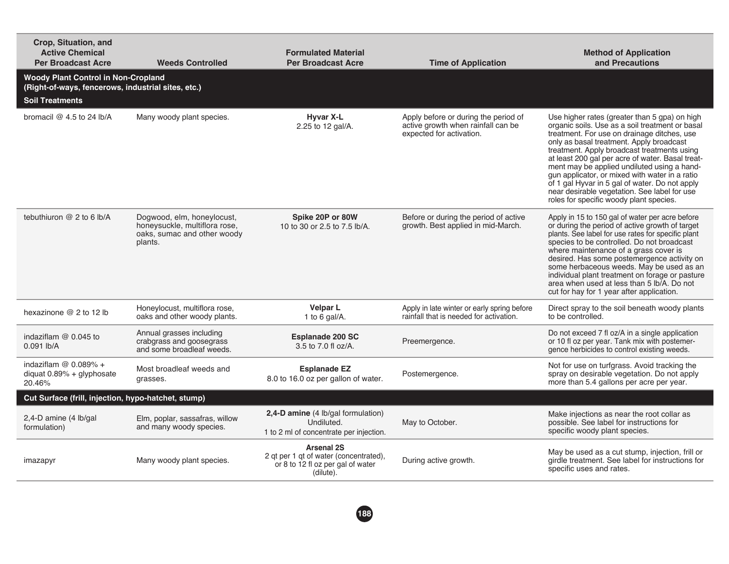| Crop, Situation, and<br><b>Active Chemical</b><br><b>Per Broadcast Acre</b>                                                | <b>Weeds Controlled</b>                                                                               | <b>Formulated Material</b><br><b>Per Broadcast Acre</b>                                                       | <b>Time of Application</b>                                                                             | <b>Method of Application</b><br>and Precautions                                                                                                                                                                                                                                                                                                                                                                                                                                                                                              |  |
|----------------------------------------------------------------------------------------------------------------------------|-------------------------------------------------------------------------------------------------------|---------------------------------------------------------------------------------------------------------------|--------------------------------------------------------------------------------------------------------|----------------------------------------------------------------------------------------------------------------------------------------------------------------------------------------------------------------------------------------------------------------------------------------------------------------------------------------------------------------------------------------------------------------------------------------------------------------------------------------------------------------------------------------------|--|
| <b>Woody Plant Control in Non-Cropland</b><br>(Right-of-ways, fencerows, industrial sites, etc.)<br><b>Soil Treatments</b> |                                                                                                       |                                                                                                               |                                                                                                        |                                                                                                                                                                                                                                                                                                                                                                                                                                                                                                                                              |  |
| bromacil $@$ 4.5 to 24 lb/A                                                                                                | Many woody plant species.                                                                             | <b>Hyvar X-L</b><br>2.25 to 12 gal/A.                                                                         | Apply before or during the period of<br>active growth when rainfall can be<br>expected for activation. | Use higher rates (greater than 5 gpa) on high<br>organic soils. Use as a soil treatment or basal<br>treatment. For use on drainage ditches, use<br>only as basal treatment. Apply broadcast<br>treatment. Apply broadcast treatments using<br>at least 200 gal per acre of water. Basal treat-<br>ment may be applied undiluted using a hand-<br>gun applicator, or mixed with water in a ratio<br>of 1 gal Hyvar in 5 gal of water. Do not apply<br>near desirable vegetation. See label for use<br>roles for specific woody plant species. |  |
| tebuthiuron @ 2 to 6 lb/A                                                                                                  | Dogwood, elm, honeylocust,<br>honeysuckle, multiflora rose,<br>oaks, sumac and other woody<br>plants. | Spike 20P or 80W<br>10 to 30 or 2.5 to 7.5 lb/A.                                                              | Before or during the period of active<br>growth. Best applied in mid-March.                            | Apply in 15 to 150 gal of water per acre before<br>or during the period of active growth of target<br>plants. See label for use rates for specific plant<br>species to be controlled. Do not broadcast<br>where maintenance of a grass cover is<br>desired. Has some postemergence activity on<br>some herbaceous weeds. May be used as an<br>individual plant treatment on forage or pasture<br>area when used at less than 5 lb/A. Do not<br>cut for hay for 1 year after application.                                                     |  |
| hexazinone @ 2 to 12 lb                                                                                                    | Honeylocust, multiflora rose,<br>oaks and other woody plants.                                         | <b>Velpar L</b><br>1 to 6 gal/A.                                                                              | Apply in late winter or early spring before<br>rainfall that is needed for activation.                 | Direct spray to the soil beneath woody plants<br>to be controlled.                                                                                                                                                                                                                                                                                                                                                                                                                                                                           |  |
| indaziflam $@$ 0.045 to<br>$0.091$ lb/A                                                                                    | Annual grasses including<br>crabgrass and goosegrass<br>and some broadleaf weeds.                     | <b>Esplanade 200 SC</b><br>3.5 to 7.0 fl oz/A.                                                                | Preemergence.                                                                                          | Do not exceed 7 fl oz/A in a single application<br>or 10 fl oz per year. Tank mix with postemer-<br>gence herbicides to control existing weeds.                                                                                                                                                                                                                                                                                                                                                                                              |  |
| indaziflam $@$ 0.089% +<br>diquat 0.89% + glyphosate<br>20.46%                                                             | Most broadleaf weeds and<br>grasses.                                                                  | <b>Esplanade EZ</b><br>8.0 to 16.0 oz per gallon of water.                                                    | Postemergence.                                                                                         | Not for use on turfgrass. Avoid tracking the<br>spray on desirable vegetation. Do not apply<br>more than 5.4 gallons per acre per year.                                                                                                                                                                                                                                                                                                                                                                                                      |  |
| Cut Surface (frill, injection, hypo-hatchet, stump)                                                                        |                                                                                                       |                                                                                                               |                                                                                                        |                                                                                                                                                                                                                                                                                                                                                                                                                                                                                                                                              |  |
| 2,4-D amine (4 lb/gal<br>formulation)                                                                                      | Elm, poplar, sassafras, willow<br>and many woody species.                                             | 2,4-D amine (4 lb/gal formulation)<br>Undiluted.<br>1 to 2 ml of concentrate per injection.                   | May to October.                                                                                        | Make injections as near the root collar as<br>possible. See label for instructions for<br>specific woody plant species.                                                                                                                                                                                                                                                                                                                                                                                                                      |  |
| imazapyr                                                                                                                   | Many woody plant species.                                                                             | <b>Arsenal 2S</b><br>2 qt per 1 qt of water (concentrated),<br>or 8 to 12 fl oz per gal of water<br>(dilute). | During active growth.                                                                                  | May be used as a cut stump, injection, frill or<br>girdle treatment. See label for instructions for<br>specific uses and rates.                                                                                                                                                                                                                                                                                                                                                                                                              |  |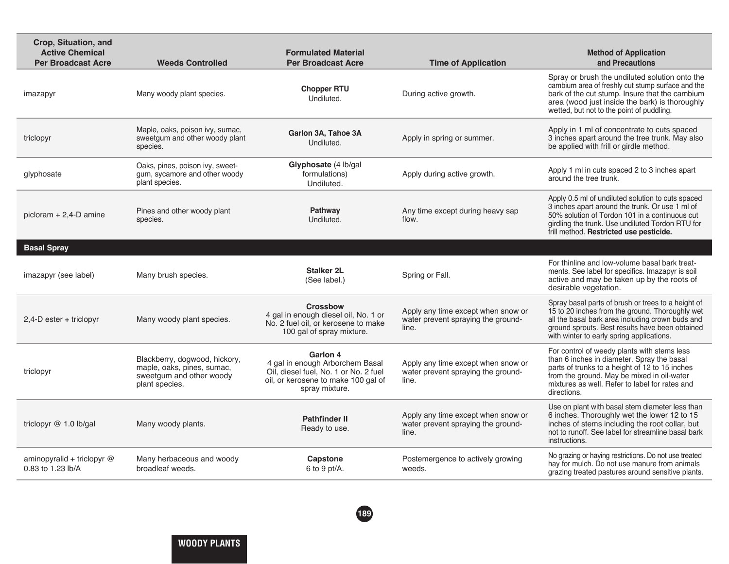| Crop, Situation, and<br><b>Active Chemical</b><br><b>Per Broadcast Acre</b> | <b>Weeds Controlled</b>                                                                                   | <b>Formulated Material</b><br><b>Per Broadcast Acre</b>                                                                                       | <b>Time of Application</b>                                                        | <b>Method of Application</b><br>and Precautions                                                                                                                                                                                                            |
|-----------------------------------------------------------------------------|-----------------------------------------------------------------------------------------------------------|-----------------------------------------------------------------------------------------------------------------------------------------------|-----------------------------------------------------------------------------------|------------------------------------------------------------------------------------------------------------------------------------------------------------------------------------------------------------------------------------------------------------|
| imazapyr                                                                    | Many woody plant species.                                                                                 | <b>Chopper RTU</b><br>Undiluted.                                                                                                              | During active growth.                                                             | Spray or brush the undiluted solution onto the<br>cambium area of freshly cut stump surface and the<br>bark of the cut stump. Insure that the cambium<br>area (wood just inside the bark) is thoroughly<br>wetted, but not to the point of puddling.       |
| triclopyr                                                                   | Maple, oaks, poison ivy, sumac,<br>sweetgum and other woody plant<br>species.                             | Garlon 3A, Tahoe 3A<br>Undiluted.                                                                                                             | Apply in spring or summer.                                                        | Apply in 1 ml of concentrate to cuts spaced<br>3 inches apart around the tree trunk. May also<br>be applied with frill or girdle method.                                                                                                                   |
| glyphosate                                                                  | Oaks, pines, poison ivy, sweet-<br>gum, sycamore and other woody<br>plant species.                        | Glyphosate (4 lb/gal<br>formulations)<br>Undiluted.                                                                                           | Apply during active growth.                                                       | Apply 1 ml in cuts spaced 2 to 3 inches apart<br>around the tree trunk.                                                                                                                                                                                    |
| picloram $+ 2,4$ -D amine                                                   | Pines and other woody plant<br>species.                                                                   | Pathway<br>Undiluted.                                                                                                                         | Any time except during heavy sap<br>flow.                                         | Apply 0.5 ml of undiluted solution to cuts spaced<br>3 inches apart around the trunk. Or use 1 ml of<br>50% solution of Tordon 101 in a continuous cut<br>girdling the trunk. Use undiluted Tordon RTU for<br>frill method. Restricted use pesticide.      |
| <b>Basal Spray</b>                                                          |                                                                                                           |                                                                                                                                               |                                                                                   |                                                                                                                                                                                                                                                            |
| imazapyr (see label)                                                        | Many brush species.                                                                                       | <b>Stalker 2L</b><br>(See label.)                                                                                                             | Spring or Fall.                                                                   | For thinline and low-volume basal bark treat-<br>ments. See label for specifics. Imazapyr is soil<br>active and may be taken up by the roots of<br>desirable vegetation.                                                                                   |
| $2.4$ -D ester + triclopyr                                                  | Many woody plant species.                                                                                 | <b>Crossbow</b><br>4 gal in enough diesel oil, No. 1 or<br>No. 2 fuel oil, or kerosene to make<br>100 gal of spray mixture.                   | Apply any time except when snow or<br>water prevent spraying the ground-<br>line. | Spray basal parts of brush or trees to a height of<br>15 to 20 inches from the ground. Thoroughly wet<br>all the basal bark area including crown buds and<br>ground sprouts. Best results have been obtained<br>with winter to early spring applications.  |
| triclopyr                                                                   | Blackberry, dogwood, hickory,<br>maple, oaks, pines, sumac,<br>sweetgum and other woody<br>plant species. | Garlon 4<br>4 gal in enough Arborchem Basal<br>Oil, diesel fuel, No. 1 or No. 2 fuel<br>oil, or kerosene to make 100 gal of<br>spray mixture. | Apply any time except when snow or<br>water prevent spraying the ground-<br>line. | For control of weedy plants with stems less<br>than 6 inches in diameter. Spray the basal<br>parts of trunks to a height of 12 to 15 inches<br>from the ground. May be mixed in oil-water<br>mixtures as well. Refer to label for rates and<br>directions. |
| triclopyr $@1.0$ lb/gal                                                     | Many woody plants.                                                                                        | <b>Pathfinder II</b><br>Ready to use.                                                                                                         | Apply any time except when snow or<br>water prevent spraying the ground-<br>line. | Use on plant with basal stem diameter less than<br>6 inches. Thoroughly wet the lower 12 to 15<br>inches of stems including the root collar, but<br>not to runoff. See label for streamline basal bark<br>instructions.                                    |
| aminopyralid + triclopyr $@$<br>0.83 to 1.23 lb/A                           | Many herbaceous and woody<br>broadleaf weeds.                                                             | Capstone<br>6 to 9 pt/A.                                                                                                                      | Postemergence to actively growing<br>weeds.                                       | No grazing or haying restrictions. Do not use treated<br>hay for mulch. Do not use manure from animals<br>grazing treated pastures around sensitive plants.                                                                                                |
|                                                                             |                                                                                                           |                                                                                                                                               |                                                                                   |                                                                                                                                                                                                                                                            |

**189**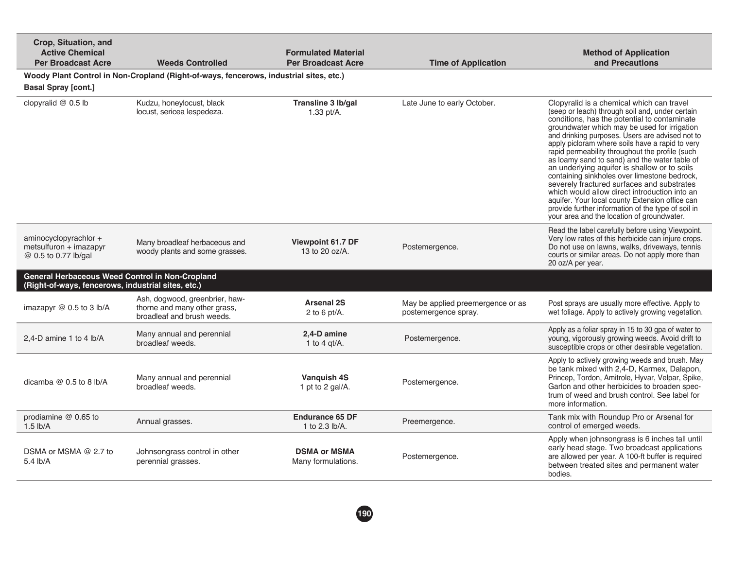| Crop, Situation, and<br><b>Active Chemical</b><br><b>Per Broadcast Acre</b>                           | <b>Weeds Controlled</b>                                                                      | <b>Formulated Material</b><br><b>Per Broadcast Acre</b> | <b>Time of Application</b>                                | <b>Method of Application</b><br>and Precautions                                                                                                                                                                                                                                                                                                                                                                                                                                                                                                                                                                                                                                                                                                              |
|-------------------------------------------------------------------------------------------------------|----------------------------------------------------------------------------------------------|---------------------------------------------------------|-----------------------------------------------------------|--------------------------------------------------------------------------------------------------------------------------------------------------------------------------------------------------------------------------------------------------------------------------------------------------------------------------------------------------------------------------------------------------------------------------------------------------------------------------------------------------------------------------------------------------------------------------------------------------------------------------------------------------------------------------------------------------------------------------------------------------------------|
|                                                                                                       | Woody Plant Control in Non-Cropland (Right-of-ways, fencerows, industrial sites, etc.)       |                                                         |                                                           |                                                                                                                                                                                                                                                                                                                                                                                                                                                                                                                                                                                                                                                                                                                                                              |
| <b>Basal Spray [cont.]</b>                                                                            |                                                                                              |                                                         |                                                           |                                                                                                                                                                                                                                                                                                                                                                                                                                                                                                                                                                                                                                                                                                                                                              |
| clopyralid @ 0.5 lb                                                                                   | Kudzu, honeylocust, black<br>locust, sericea lespedeza.                                      | Transline 3 lb/gal<br>1.33 pt/A.                        | Late June to early October.                               | Clopyralid is a chemical which can travel<br>(seep or leach) through soil and, under certain<br>conditions, has the potential to contaminate<br>groundwater which may be used for irrigation<br>and drinking purposes. Users are advised not to<br>apply picloram where soils have a rapid to very<br>rapid permeability throughout the profile (such<br>as loamy sand to sand) and the water table of<br>an underlying aquifer is shallow or to soils<br>containing sinkholes over limestone bedrock,<br>severely fractured surfaces and substrates<br>which would allow direct introduction into an<br>aquifer. Your local county Extension office can<br>provide further information of the type of soil in<br>your area and the location of groundwater. |
| aminocyclopyrachlor +<br>metsulfuron + imazapyr<br>@ 0.5 to 0.77 lb/gal                               | Many broadleaf herbaceous and<br>woody plants and some grasses.                              | Viewpoint 61.7 DF<br>13 to 20 oz/A.                     | Postemergence.                                            | Read the label carefully before using Viewpoint.<br>Very low rates of this herbicide can injure crops.<br>Do not use on lawns, walks, driveways, tennis<br>courts or similar areas. Do not apply more than<br>20 oz/A per year.                                                                                                                                                                                                                                                                                                                                                                                                                                                                                                                              |
| General Herbaceous Weed Control in Non-Cropland<br>(Right-of-ways, fencerows, industrial sites, etc.) |                                                                                              |                                                         |                                                           |                                                                                                                                                                                                                                                                                                                                                                                                                                                                                                                                                                                                                                                                                                                                                              |
| imazapyr $@$ 0.5 to 3 lb/A                                                                            | Ash, dogwood, greenbrier, haw-<br>thorne and many other grass,<br>broadleaf and brush weeds. | <b>Arsenal 2S</b><br>2 to 6 pt/A.                       | May be applied preemergence or as<br>postemergence spray. | Post sprays are usually more effective. Apply to<br>wet foliage. Apply to actively growing vegetation.                                                                                                                                                                                                                                                                                                                                                                                                                                                                                                                                                                                                                                                       |
| 2,4-D amine 1 to 4 lb/A                                                                               | Many annual and perennial<br>broadleaf weeds.                                                | 2,4-D amine<br>1 to 4 $qt/A$ .                          | Postemergence.                                            | Apply as a foliar spray in 15 to 30 gpa of water to<br>young, vigorously growing weeds. Avoid drift to<br>susceptible crops or other desirable vegetation.                                                                                                                                                                                                                                                                                                                                                                                                                                                                                                                                                                                                   |
| dicamba $@$ 0.5 to 8 lb/A                                                                             | Many annual and perennial<br>broadleaf weeds.                                                | Vanguish 4S<br>1 pt to 2 gal/A.                         | Postemergence.                                            | Apply to actively growing weeds and brush. May<br>be tank mixed with 2,4-D, Karmex, Dalapon,<br>Princep, Tordon, Amitrole, Hyvar, Velpar, Spike,<br>Garlon and other herbicides to broaden spec-<br>trum of weed and brush control. See label for<br>more information.                                                                                                                                                                                                                                                                                                                                                                                                                                                                                       |
| prodiamine @ 0.65 to<br>$1.5$ lb/A                                                                    | Annual grasses.                                                                              | <b>Endurance 65 DF</b><br>1 to 2.3 lb/A.                | Preemergence.                                             | Tank mix with Roundup Pro or Arsenal for<br>control of emerged weeds.                                                                                                                                                                                                                                                                                                                                                                                                                                                                                                                                                                                                                                                                                        |
| DSMA or MSMA @ 2.7 to<br>$5.4$ lb/A                                                                   | Johnsongrass control in other<br>perennial grasses.                                          | <b>DSMA or MSMA</b><br>Many formulations.               | Postemergence.                                            | Apply when johnsongrass is 6 inches tall until<br>early head stage. Two broadcast applications<br>are allowed per year. A 100-ft buffer is required<br>between treated sites and permanent water<br>bodies.                                                                                                                                                                                                                                                                                                                                                                                                                                                                                                                                                  |

**190**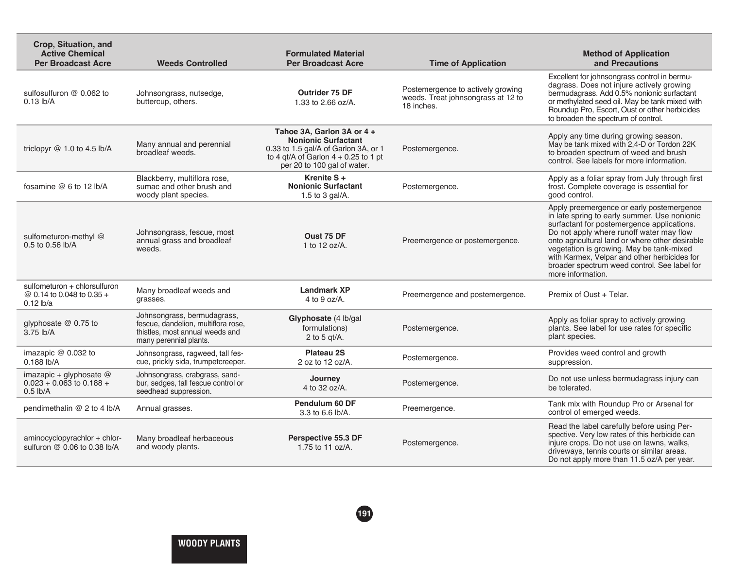| Crop, Situation, and<br><b>Active Chemical</b><br><b>Per Broadcast Acre</b> | <b>Weeds Controlled</b>                                                                                                         | <b>Formulated Material</b><br><b>Per Broadcast Acre</b>                                                                                                                   | <b>Time of Application</b>                                                            | <b>Method of Application</b><br>and Precautions                                                                                                                                                                                                                                                                                                                                                         |
|-----------------------------------------------------------------------------|---------------------------------------------------------------------------------------------------------------------------------|---------------------------------------------------------------------------------------------------------------------------------------------------------------------------|---------------------------------------------------------------------------------------|---------------------------------------------------------------------------------------------------------------------------------------------------------------------------------------------------------------------------------------------------------------------------------------------------------------------------------------------------------------------------------------------------------|
| sulfosulfuron @ 0.062 to<br>$0.13$ lb/A                                     | Johnsongrass, nutsedge,<br>buttercup, others.                                                                                   | Outrider 75 DF<br>1.33 to $2.66$ oz/A.                                                                                                                                    | Postemergence to actively growing<br>weeds. Treat johnsongrass at 12 to<br>18 inches. | Excellent for johnsongrass control in bermu-<br>dagrass. Does not injure actively growing<br>bermudagrass. Add 0.5% nonionic surfactant<br>or methylated seed oil. May be tank mixed with<br>Roundup Pro, Escort, Oust or other herbicides<br>to broaden the spectrum of control.                                                                                                                       |
| triclopyr $@1.0$ to 4.5 lb/A                                                | Many annual and perennial<br>broadleaf weeds.                                                                                   | Tahoe 3A, Garlon 3A or 4 +<br><b>Nonionic Surfactant</b><br>0.33 to 1.5 gal/A of Garlon 3A, or 1<br>to 4 qt/A of Garlon $4 + 0.25$ to 1 pt<br>per 20 to 100 gal of water. | Postemergence.                                                                        | Apply any time during growing season.<br>May be tank mixed with 2,4-D or Tordon 22K<br>to broaden spectrum of weed and brush<br>control. See labels for more information.                                                                                                                                                                                                                               |
| fosamine @ 6 to 12 lb/A                                                     | Blackberry, multiflora rose,<br>sumac and other brush and<br>woody plant species.                                               | Krenite S +<br><b>Nonionic Surfactant</b><br>1.5 to 3 gal/A.                                                                                                              | Postemergence.                                                                        | Apply as a foliar spray from July through first<br>frost. Complete coverage is essential for<br>good control.                                                                                                                                                                                                                                                                                           |
| sulfometuron-methyl @<br>0.5 to 0.56 lb/A                                   | Johnsongrass, fescue, most<br>annual grass and broadleaf<br>weeds.                                                              | Oust 75 DF<br>1 to $12$ oz/A.                                                                                                                                             | Preemergence or postemergence.                                                        | Apply preemergence or early postemergence<br>in late spring to early summer. Use nonionic<br>surfactant for postemergence applications.<br>Do not apply where runoff water may flow<br>onto agricultural land or where other desirable<br>vegetation is growing. May be tank-mixed<br>with Karmex, Velpar and other herbicides for<br>broader spectrum weed control. See label for<br>more information. |
| sulfometuron + chlorsulfuron<br>@ 0.14 to 0.048 to 0.35 +<br>$0.12$ lb/a    | Many broadleaf weeds and<br>grasses.                                                                                            | <b>Landmark XP</b><br>4 to 9 oz/A.                                                                                                                                        | Preemergence and postemergence.                                                       | Premix of Oust + Telar.                                                                                                                                                                                                                                                                                                                                                                                 |
| glyphosate @ 0.75 to<br>3.75 lb/A                                           | Johnsongrass, bermudagrass,<br>fescue, dandelion, multiflora rose,<br>thistles, most annual weeds and<br>many perennial plants. | Glyphosate (4 lb/gal<br>formulations)<br>2 to 5 $qt/A$ .                                                                                                                  | Postemergence.                                                                        | Apply as foliar spray to actively growing<br>plants. See label for use rates for specific<br>plant species.                                                                                                                                                                                                                                                                                             |
| imazapic @ 0.032 to<br>0.188 lb/A                                           | Johnsongrass, ragweed, tall fes-<br>cue, prickly sida, trumpetcreeper.                                                          | Plateau 2S<br>2 oz to 12 oz/A.                                                                                                                                            | Postemergence.                                                                        | Provides weed control and growth<br>suppression.                                                                                                                                                                                                                                                                                                                                                        |
| imazapic + glyphosate $@$<br>$0.023 + 0.063$ to 0.188 +<br>$0.5$ lb/A       | Johnsongrass, crabgrass, sand-<br>bur, sedges, tall fescue control or<br>seedhead suppression.                                  | Journey<br>4 to 32 oz/A.                                                                                                                                                  | Postemergence.                                                                        | Do not use unless bermudagrass injury can<br>be tolerated.                                                                                                                                                                                                                                                                                                                                              |
| pendimethalin @ 2 to 4 lb/A                                                 | Annual grasses.                                                                                                                 | Pendulum 60 DF<br>3.3 to 6.6 lb/A.                                                                                                                                        | Preemergence.                                                                         | Tank mix with Roundup Pro or Arsenal for<br>control of emerged weeds.                                                                                                                                                                                                                                                                                                                                   |
| aminocyclopyrachlor + chlor-<br>sulfuron $@$ 0.06 to 0.38 lb/A              | Many broadleaf herbaceous<br>and woody plants.                                                                                  | Perspective 55.3 DF<br>1.75 to 11 oz/A.                                                                                                                                   | Postemergence.                                                                        | Read the label carefully before using Per-<br>spective. Very low rates of this herbicide can<br>injure crops. Do not use on lawns, walks,<br>driveways, tennis courts or similar areas.<br>Do not apply more than 11.5 oz/A per year.                                                                                                                                                                   |